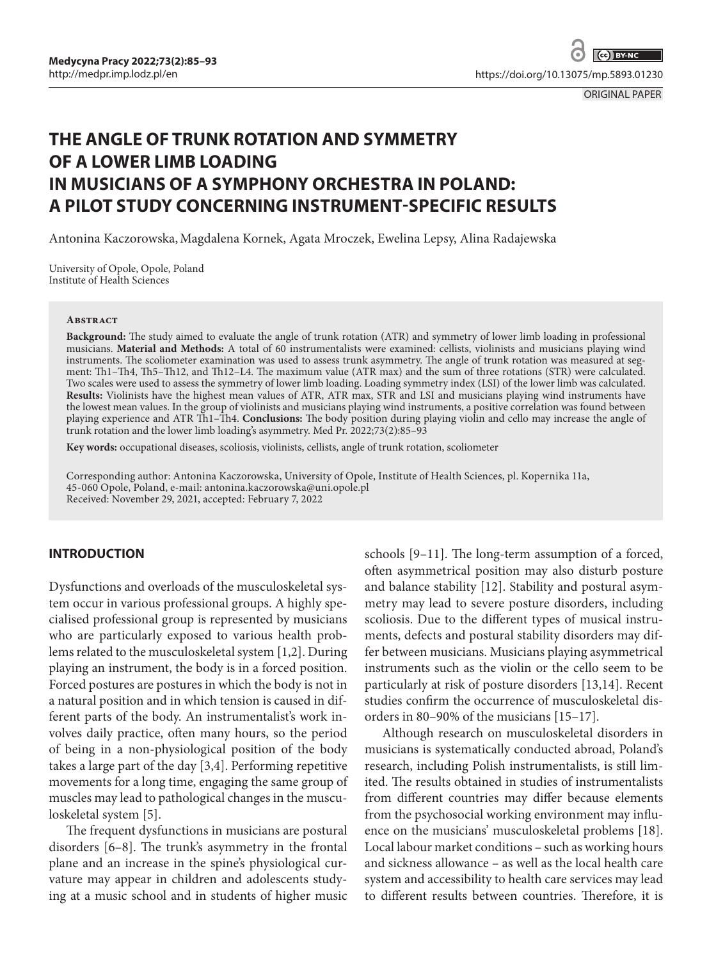ORIGINAL PAPER

# **THE ANGLE OF TRUNK ROTATION AND SYMMETRY OF A LOWER LIMB LOADING IN MUSICIANS OF A SYMPHONY ORCHESTRA IN POLAND: A PILOT STUDY CONCERNING INSTRUMENT-SPECIFIC RESULTS**

Antonina Kaczorowska,Magdalena Kornek, Agata Mroczek, Ewelina Lepsy, Alina Radajewska

University of Opole, Opole, Poland Institute of Health Sciences

#### **Abstract**

**Background:** The study aimed to evaluate the angle of trunk rotation (ATR) and symmetry of lower limb loading in professional musicians. **Material and Methods:** A total of 60 instrumentalists were examined: cellists, violinists and musicians playing wind instruments. The scoliometer examination was used to assess trunk asymmetry. The angle of trunk rotation was measured at segment: Th1–Th4, Th5–Th12, and Th12–L4. The maximum value (ATR max) and the sum of three rotations (STR) were calculated. Two scales were used to assess the symmetry of lower limb loading. Loading symmetry index (LSI) of the lower limb was calculated. **Results:** Violinists have the highest mean values of ATR, ATR max, STR and LSI and musicians playing wind instruments have the lowest mean values. In the group of violinists and musicians playing wind instruments, a positive correlation was found between playing experience and ATR Th1–Th4. **Conclusions:** The body position during playing violin and cello may increase the angle of trunk rotation and the lower limb loading's asymmetry. Med Pr. 2022;73(2):85–93

**Key words:** occupational diseases, scoliosis, violinists, cellists, angle of trunk rotation, scoliometer

Corresponding author: Antonina Kaczorowska, University of Opole, Institute of Health Sciences, pl. Kopernika 11a, 45-060 Opole, Poland, e-mail: antonina.kaczorowska@uni.opole.pl Received: November 29, 2021, accepted: February 7, 2022

# **INTRODUCTION**

Dysfunctions and overloads of the musculoskeletal system occur in various professional groups. A highly specialised professional group is represented by musicians who are particularly exposed to various health problems related to the musculoskeletal system [1,2]. During playing an instrument, the body is in a forced position. Forced postures are postures in which the body is not in a natural position and in which tension is caused in different parts of the body. An instrumentalist's work involves daily practice, often many hours, so the period of being in a non-physiological position of the body takes a large part of the day [3,4]. Performing repetitive movements for a long time, engaging the same group of muscles may lead to pathological changes in the musculoskeletal system [5].

The frequent dysfunctions in musicians are postural disorders [6–8]. The trunk's asymmetry in the frontal plane and an increase in the spine's physiological curvature may appear in children and adolescents studying at a music school and in students of higher music schools [9–11]. The long-term assumption of a forced, often asymmetrical position may also disturb posture and balance stability [12]. Stability and postural asymmetry may lead to severe posture disorders, including scoliosis. Due to the different types of musical instruments, defects and postural stability disorders may differ between musicians. Musicians playing asymmetrical instruments such as the violin or the cello seem to be particularly at risk of posture disorders [13,14]. Recent studies confirm the occurrence of musculoskeletal disorders in 80–90% of the musicians [15–17].

Although research on musculoskeletal disorders in musicians is systematically conducted abroad, Poland's research, including Polish instrumentalists, is still limited. The results obtained in studies of instrumentalists from different countries may differ because elements from the psychosocial working environment may influence on the musicians' musculoskeletal problems [18]. Local labour market conditions – such as working hours and sickness allowance – as well as the local health care system and accessibility to health care services may lead to different results between countries. Therefore, it is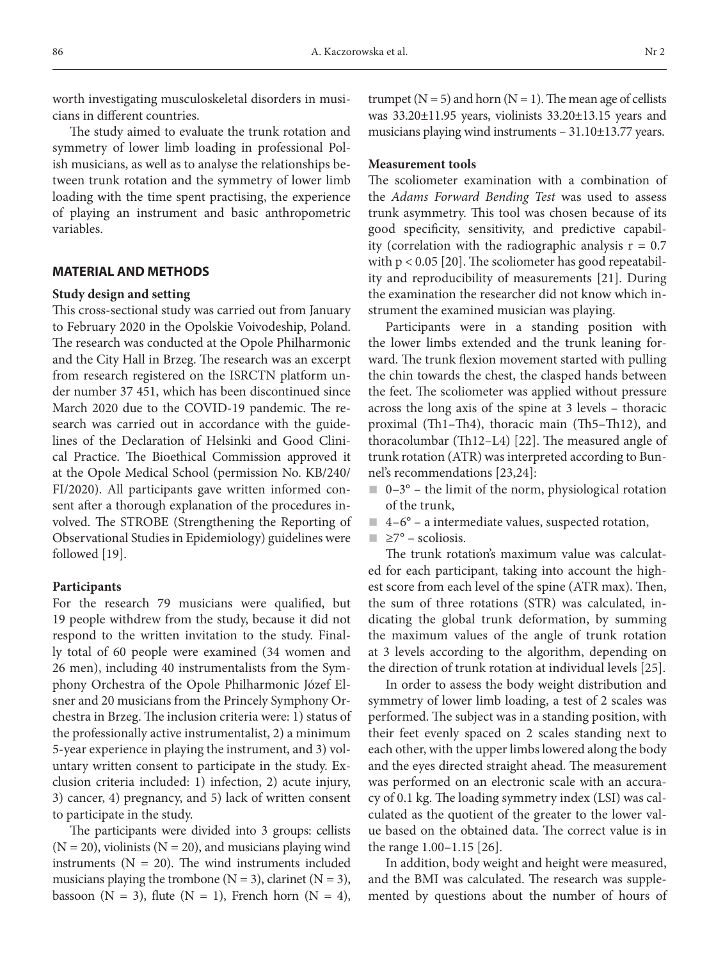worth investigating musculoskeletal disorders in musicians in different countries.

The study aimed to evaluate the trunk rotation and symmetry of lower limb loading in professional Polish musicians, as well as to analyse the relationships between trunk rotation and the symmetry of lower limb loading with the time spent practising, the experience of playing an instrument and basic anthropometric variables.

# **MATERIAL AND METHODS**

## **Study design and setting**

This cross-sectional study was carried out from January to February 2020 in the Opolskie Voivodeship, Poland. The research was conducted at the Opole Philharmonic and the City Hall in Brzeg. The research was an excerpt from research registered on the ISRCTN platform under number 37 451, which has been discontinued since March 2020 due to the COVID-19 pandemic. The research was carried out in accordance with the guidelines of the Declaration of Helsinki and Good Clinical Practice. The Bioethical Commission approved it at the Opole Medical School (permission No. KB/240/ FI/2020). All participants gave written informed consent after a thorough explanation of the procedures involved. The STROBE (Strengthening the Reporting of Observational Studies in Epidemiology) guidelines were followed [19].

### **Participants**

For the research 79 musicians were qualified, but 19 people withdrew from the study, because it did not respond to the written invitation to the study. Finally total of 60 people were examined (34 women and 26 men), including 40 instrumentalists from the Symphony Orchestra of the Opole Philharmonic Józef Elsner and 20 musicians from the Princely Symphony Orchestra in Brzeg. The inclusion criteria were: 1) status of the professionally active instrumentalist, 2) a minimum 5-year experience in playing the instrument, and 3) voluntary written consent to participate in the study. Exclusion criteria included: 1) infection, 2) acute injury, 3) cancer, 4) pregnancy, and 5) lack of written consent to participate in the study.

The participants were divided into 3 groups: cellists  $(N = 20)$ , violinists  $(N = 20)$ , and musicians playing wind instruments ( $N = 20$ ). The wind instruments included musicians playing the trombone ( $N = 3$ ), clarinet ( $N = 3$ ), bassoon (N = 3), flute (N = 1), French horn (N = 4),

trumpet ( $N = 5$ ) and horn ( $N = 1$ ). The mean age of cellists was 33.20±11.95 years, violinists 33.20±13.15 years and musicians playing wind instruments – 31.10±13.77 years.

# **Measurement tools**

The scoliometer examination with a combination of the *Adams Forward Bending Test* was used to assess trunk asymmetry. This tool was chosen because of its good specificity, sensitivity, and predictive capability (correlation with the radiographic analysis  $r = 0.7$ with  $p < 0.05$  [20]. The scoliometer has good repeatability and reproducibility of measurements [21]. During the examination the researcher did not know which instrument the examined musician was playing.

Participants were in a standing position with the lower limbs extended and the trunk leaning forward. The trunk flexion movement started with pulling the chin towards the chest, the clasped hands between the feet. The scoliometer was applied without pressure across the long axis of the spine at 3 levels – thoracic proximal (Th1–Th4), thoracic main (Th5–Th12), and thoracolumbar (Th12–L4) [22]. The measured angle of trunk rotation (ATR) was interpreted according to Bunnel's recommendations [23,24]:

- $\Box$  0–3° the limit of the norm, physiological rotation of the trunk,
- $\blacksquare$  4–6° a intermediate values, suspected rotation,
- $\blacksquare$  ≥7° scoliosis.

The trunk rotation's maximum value was calculated for each participant, taking into account the highest score from each level of the spine (ATR max). Then, the sum of three rotations (STR) was calculated, indicating the global trunk deformation, by summing the maximum values of the angle of trunk rotation at 3 levels according to the algorithm, depending on the direction of trunk rotation at individual levels [25].

In order to assess the body weight distribution and symmetry of lower limb loading, a test of 2 scales was performed. The subject was in a standing position, with their feet evenly spaced on 2 scales standing next to each other, with the upper limbs lowered along the body and the eyes directed straight ahead. The measurement was performed on an electronic scale with an accuracy of 0.1 kg. The loading symmetry index (LSI) was calculated as the quotient of the greater to the lower value based on the obtained data. The correct value is in the range 1.00–1.15 [26].

In addition, body weight and height were measured, and the BMI was calculated. The research was supplemented by questions about the number of hours of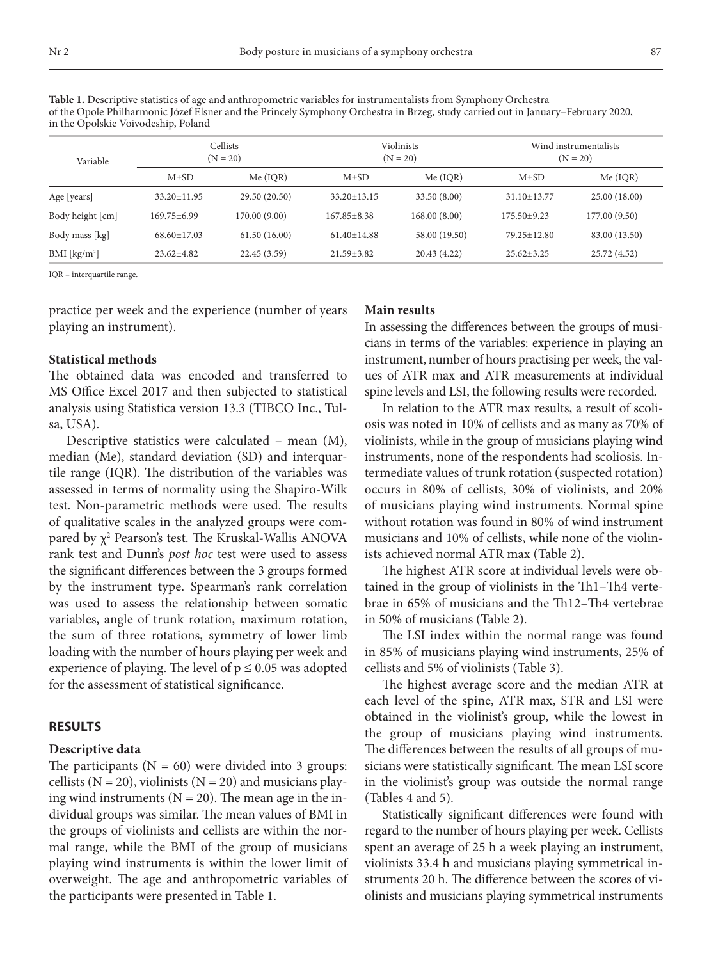| in the Opolskie Voivodeship, Poland |                        |               |                          |               |                                     |               |  |
|-------------------------------------|------------------------|---------------|--------------------------|---------------|-------------------------------------|---------------|--|
| Variable                            | Cellists<br>$(N = 20)$ |               | Violinists<br>$(N = 20)$ |               | Wind instrumentalists<br>$(N = 20)$ |               |  |
|                                     | $M\pm SD$              | Me (IOR)      | $M\pm SD$                | Me (IQR)      | $M\pm SD$                           | Me (IQR)      |  |
| Age [years]                         | $33.20 \pm 11.95$      | 29.50 (20.50) | $33.20 \pm 13.15$        | 33.50 (8.00)  | $31.10 \pm 13.77$                   | 25.00 (18.00) |  |
| Body height [cm]                    | $169.75 + 6.99$        | 170.00(9.00)  | $167.85 \pm 8.38$        | 168.00 (8.00) | 175.50±9.23                         | 177.00 (9.50) |  |
| Body mass [kg]                      | $68.60 \pm 17.03$      | 61.50(16.00)  | $61.40 \pm 14.88$        | 58.00 (19.50) | $79.25 \pm 12.80$                   | 83.00 (13.50) |  |
| BMI [kg/m <sup>2</sup> ]            | $23.62 + 4.82$         | 22.45(3.59)   | $21.59 \pm 3.82$         | 20.43 (4.22)  | $25.62 \pm 3.25$                    | 25.72 (4.52)  |  |

**Table 1.** Descriptive statistics of age and anthropometric variables for instrumentalists from Symphony Orchestra of the Opole Philharmonic Józef Elsner and the Princely Symphony Orchestra in Brzeg, study carried out in January–February 2020, in the Opolskie Voivodeship, Poland

IQR – interquartile range.

practice per week and the experience (number of years playing an instrument).

# **Statistical methods**

The obtained data was encoded and transferred to MS Office Excel 2017 and then subjected to statistical analysis using Statistica version 13.3 (TIBCO Inc., Tulsa, USA).

Descriptive statistics were calculated – mean (M), median (Me), standard deviation (SD) and interquartile range (IQR). The distribution of the variables was assessed in terms of normality using the Shapiro-Wilk test. Non-parametric methods were used. The results of qualitative scales in the analyzed groups were compared by  $\chi^2$  Pearson's test. The Kruskal-Wallis ANOVA rank test and Dunn's *post hoc* test were used to assess the significant differences between the 3 groups formed by the instrument type. Spearman's rank correlation was used to assess the relationship between somatic variables, angle of trunk rotation, maximum rotation, the sum of three rotations, symmetry of lower limb loading with the number of hours playing per week and experience of playing. The level of  $p \leq 0.05$  was adopted for the assessment of statistical significance.

## **RESULTS**

## **Descriptive data**

The participants  $(N = 60)$  were divided into 3 groups: cellists ( $N = 20$ ), violinists ( $N = 20$ ) and musicians playing wind instruments ( $N = 20$ ). The mean age in the individual groups was similar. The mean values of BMI in the groups of violinists and cellists are within the normal range, while the BMI of the group of musicians playing wind instruments is within the lower limit of overweight. The age and anthropometric variables of the participants were presented in Table 1.

#### **Main results**

In assessing the differences between the groups of musicians in terms of the variables: experience in playing an instrument, number of hours practising per week, the values of ATR max and ATR measurements at individual spine levels and LSI, the following results were recorded.

In relation to the ATR max results, a result of scoliosis was noted in 10% of cellists and as many as 70% of violinists, while in the group of musicians playing wind instruments, none of the respondents had scoliosis. Intermediate values of trunk rotation (suspected rotation) occurs in 80% of cellists, 30% of violinists, and 20% of musicians playing wind instruments. Normal spine without rotation was found in 80% of wind instrument musicians and 10% of cellists, while none of the violinists achieved normal ATR max (Table 2).

The highest ATR score at individual levels were obtained in the group of violinists in the Th1–Th4 vertebrae in 65% of musicians and the Th12–Th4 vertebrae in 50% of musicians (Table 2).

The LSI index within the normal range was found in 85% of musicians playing wind instruments, 25% of cellists and 5% of violinists (Table 3).

The highest average score and the median ATR at each level of the spine, ATR max, STR and LSI were obtained in the violinist's group, while the lowest in the group of musicians playing wind instruments. The differences between the results of all groups of musicians were statistically significant. The mean LSI score in the violinist's group was outside the normal range (Tables 4 and 5).

Statistically significant differences were found with regard to the number of hours playing per week. Cellists spent an average of 25 h a week playing an instrument, violinists 33.4 h and musicians playing symmetrical instruments 20 h. The difference between the scores of violinists and musicians playing symmetrical instruments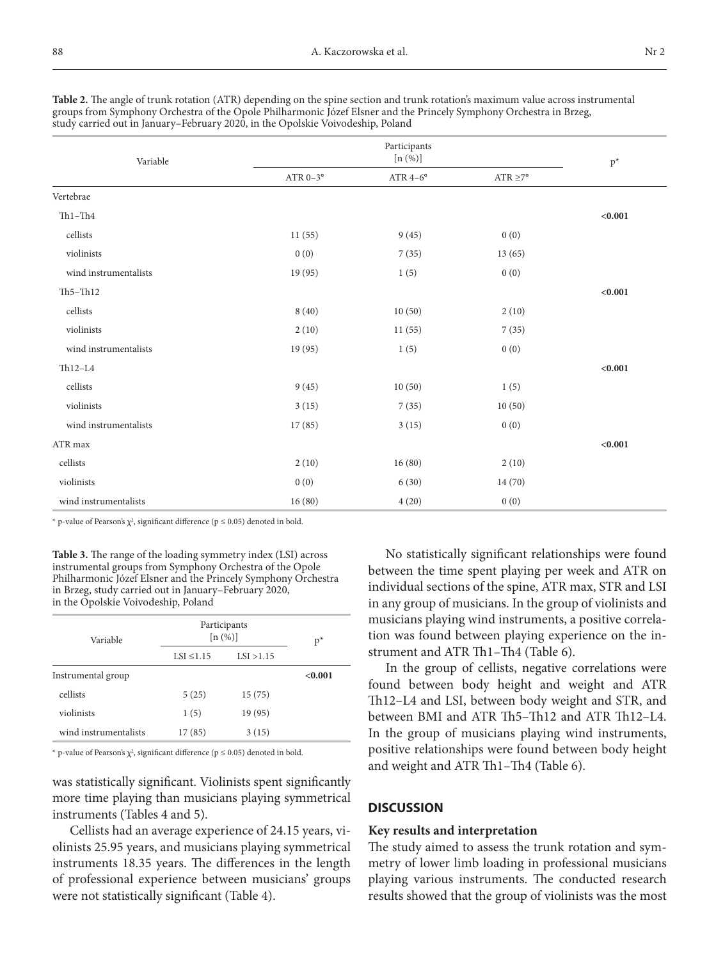| Variable              |                 | $p^*$           |                     |         |
|-----------------------|-----------------|-----------------|---------------------|---------|
|                       | ATR $0-3^\circ$ | ATR $4-6^\circ$ | $\rm ATR \geq\!7^o$ |         |
| Vertebrae             |                 |                 |                     |         |
| $Th1-Th4$             |                 |                 |                     | < 0.001 |
| $\mbox{cells}$        | 11(55)          | 9(45)           | 0(0)                |         |
| violinists            | 0(0)            | 7(35)           | 13(65)              |         |
| wind instrumentalists | 19 (95)         | 1(5)            | 0(0)                |         |
| $Th5 - Th12$          |                 |                 |                     | < 0.001 |
| cellists              | 8(40)           | 10(50)          | 2(10)               |         |
| violinists            | 2(10)           | 11(55)          | 7(35)               |         |
| wind instrumentalists | 19(95)          | 1(5)            | 0(0)                |         |
| $Th12-L4$             |                 |                 |                     | < 0.001 |
| $\mbox{cells}$        | 9(45)           | 10(50)          | 1(5)                |         |
| violinists            | 3(15)           | 7(35)           | 10(50)              |         |
| wind instrumentalists | 17(85)          | 3(15)           | 0(0)                |         |
| ATR max               |                 |                 |                     | < 0.001 |
| cellists              | 2(10)           | 16(80)          | 2(10)               |         |
| violinists            | 0(0)            | 6(30)           | 14(70)              |         |
| wind instrumentalists | 16(80)          | 4(20)           | 0(0)                |         |

**Table 2.** The angle of trunk rotation (ATR) depending on the spine section and trunk rotation's maximum value across instrumental groups from Symphony Orchestra of the Opole Philharmonic Józef Elsner and the Princely Symphony Orchestra in Brzeg, study carried out in January–February 2020, in the Opolskie Voivodeship, Poland

\* p-value of Pearson's  $\chi^2$ , significant difference (p  $\leq$  0.05) denoted in bold.

**Table 3.** The range of the loading symmetry index (LSI) across instrumental groups from Symphony Orchestra of the Opole Philharmonic Józef Elsner and the Princely Symphony Orchestra in Brzeg, study carried out in January–February 2020, in the Opolskie Voivodeship, Poland

| Variable              | Participants<br>[n (%)] | $p^*$      |         |
|-----------------------|-------------------------|------------|---------|
|                       | $LSI \leq 1.15$         | LSI > 1.15 |         |
| Instrumental group    |                         |            | < 0.001 |
| cellists              | 5(25)                   | 15(75)     |         |
| violinists            | 1(5)                    | 19 (95)    |         |
| wind instrumentalists | 17(85)                  | 3(15)      |         |

\* p-value of Pearson's  $\chi^2$ , significant difference ( $p \le 0.05$ ) denoted in bold.

was statistically significant. Violinists spent significantly more time playing than musicians playing symmetrical instruments (Tables 4 and 5).

Cellists had an average experience of 24.15 years, violinists 25.95 years, and musicians playing symmetrical instruments 18.35 years. The differences in the length of professional experience between musicians' groups were not statistically significant (Table 4).

No statistically significant relationships were found between the time spent playing per week and ATR on individual sections of the spine, ATR max, STR and LSI in any group of musicians. In the group of violinists and musicians playing wind instruments, a positive correlation was found between playing experience on the instrument and ATR Th1–Th4 (Table 6).

In the group of cellists, negative correlations were found between body height and weight and ATR Th12–L4 and LSI, between body weight and STR, and between BMI and ATR Th5–Th12 and ATR Th12–L4. In the group of musicians playing wind instruments, positive relationships were found between body height and weight and ATR Th1–Th4 (Table 6).

## **DISCUSSION**

#### **Key results and interpretation**

The study aimed to assess the trunk rotation and symmetry of lower limb loading in professional musicians playing various instruments. The conducted research results showed that the group of violinists was the most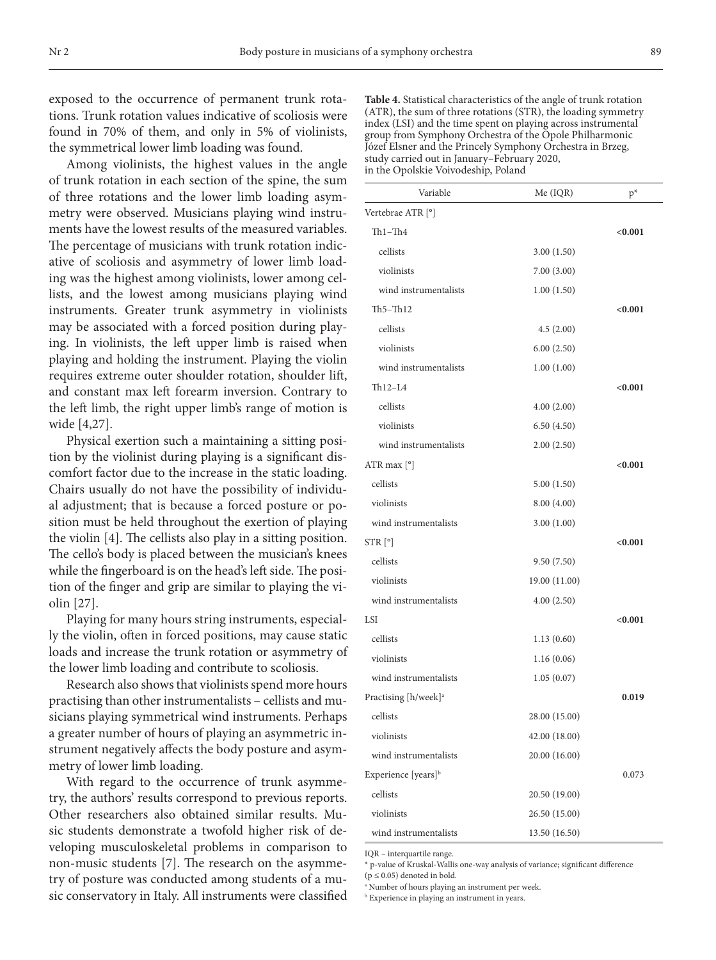exposed to the occurrence of permanent trunk rotations. Trunk rotation values indicative of scoliosis were found in 70% of them, and only in 5% of violinists, the symmetrical lower limb loading was found.

Among violinists, the highest values in the angle of trunk rotation in each section of the spine, the sum of three rotations and the lower limb loading asymmetry were observed. Musicians playing wind instruments have the lowest results of the measured variables. The percentage of musicians with trunk rotation indicative of scoliosis and asymmetry of lower limb loading was the highest among violinists, lower among cellists, and the lowest among musicians playing wind instruments. Greater trunk asymmetry in violinists may be associated with a forced position during playing. In violinists, the left upper limb is raised when playing and holding the instrument. Playing the violin requires extreme outer shoulder rotation, shoulder lift, and constant max left forearm inversion. Contrary to the left limb, the right upper limb's range of motion is wide [4,27].

Physical exertion such a maintaining a sitting position by the violinist during playing is a significant discomfort factor due to the increase in the static loading. Chairs usually do not have the possibility of individual adjustment; that is because a forced posture or position must be held throughout the exertion of playing the violin [4]. The cellists also play in a sitting position. The cello's body is placed between the musician's knees while the fingerboard is on the head's left side. The position of the finger and grip are similar to playing the violin [27].

Playing for many hours string instruments, especially the violin, often in forced positions, may cause static loads and increase the trunk rotation or asymmetry of the lower limb loading and contribute to scoliosis.

Research also shows that violinists spend more hours practising than other instrumentalists – cellists and musicians playing symmetrical wind instruments. Perhaps a greater number of hours of playing an asymmetric instrument negatively affects the body posture and asymmetry of lower limb loading.

With regard to the occurrence of trunk asymmetry, the authors' results correspond to previous reports. Other researchers also obtained similar results. Music students demonstrate a twofold higher risk of developing musculoskeletal problems in comparison to non-music students [7]. The research on the asymmetry of posture was conducted among students of a music conservatory in Italy. All instruments were classified

**Table 4.** Statistical characteristics of the angle of trunk rotation (ATR), the sum of three rotations (STR), the loading symmetry index (LSI) and the time spent on playing across instrumental group from Symphony Orchestra of the Opole Philharmonic Józef Elsner and the Princely Symphony Orchestra in Brzeg, study carried out in January–February 2020, in the Opolskie Voivodeship, Poland

| Variable                         | Me (IQR)      | $p^*$   |
|----------------------------------|---------------|---------|
| Vertebrae ATR [°]                |               |         |
| $Th1-Th4$                        |               | < 0.001 |
| cellists                         | 3.00(1.50)    |         |
| violinists                       | 7.00(3.00)    |         |
| wind instrumentalists            | 1.00(1.50)    |         |
| $Th5 - Th12$                     |               | < 0.001 |
| cellists                         | 4.5(2.00)     |         |
| violinists                       | 6.00(2.50)    |         |
| wind instrumentalists            | 1.00(1.00)    |         |
| $Th12-L4$                        |               | < 0.001 |
| cellists                         | 4.00(2.00)    |         |
| violinists                       | 6.50(4.50)    |         |
| wind instrumentalists            | 2.00(2.50)    |         |
| ATR max $[°]$                    |               | < 0.001 |
| cellists                         | 5.00(1.50)    |         |
| violinists                       | 8.00(4.00)    |         |
| wind instrumentalists            | 3.00(1.00)    |         |
| STR [°]                          |               | < 0.001 |
| cellists                         | 9.50(7.50)    |         |
| violinists                       | 19.00 (11.00) |         |
| wind instrumentalists            | 4.00(2.50)    |         |
| <b>LSI</b>                       |               | < 0.001 |
| cellists                         | 1.13(0.60)    |         |
| violinists                       | 1.16(0.06)    |         |
| wind instrumentalists            | 1.05(0.07)    |         |
| Practising [h/week] <sup>a</sup> |               | 0.019   |
| cellists                         | 28.00 (15.00) |         |
| violinists                       | 42.00 (18.00) |         |
| wind instrumentalists            | 20.00 (16.00) |         |
| Experience [years] <sup>b</sup>  |               | 0.073   |
| cellists                         | 20.50 (19.00) |         |
| violinists                       | 26.50 (15.00) |         |
| wind instrumentalists            | 13.50 (16.50) |         |

IQR – interquartile range.

\* p-value of Kruskal-Wallis one-way analysis of variance; significant difference ( $p \leq 0.05$ ) denoted in bold.

a Number of hours playing an instrument per week.

**Experience in playing an instrument in years.**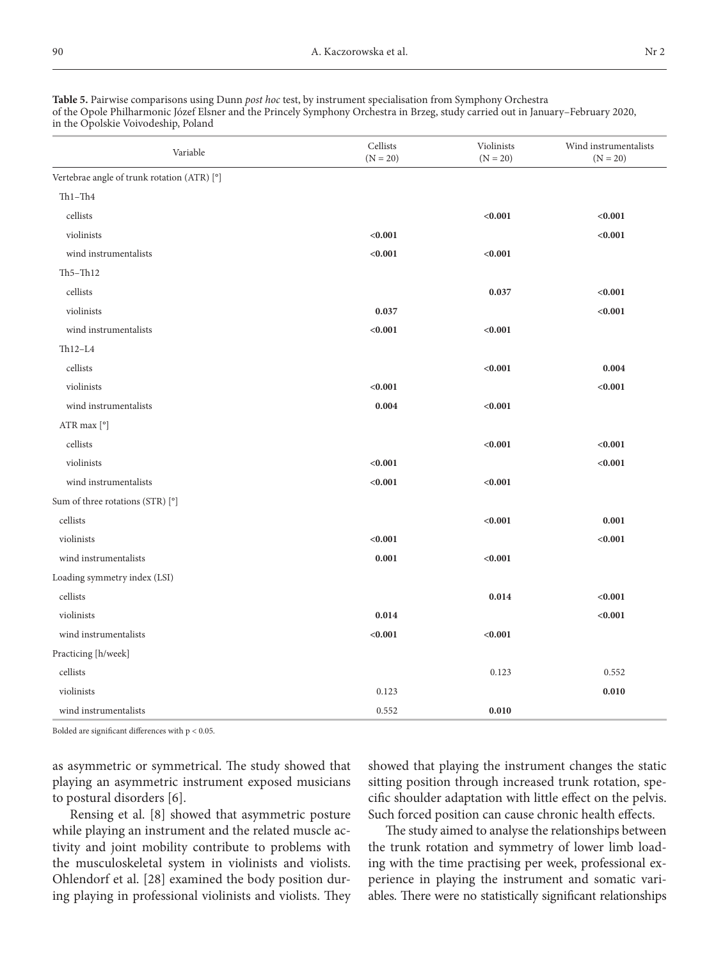| <b>Table 5.</b> Pairwise comparisons using Dunn <i>post hoc</i> test, by instrument specialisation from Symphony Orchestra       |
|----------------------------------------------------------------------------------------------------------------------------------|
| of the Opole Philharmonic Józef Elsner and the Princely Symphony Orchestra in Brzeg, study carried out in January–February 2020, |
| in the Opolskie Voivodeship, Poland                                                                                              |

| Variable                                    | Cellists<br>$(N = 20)$ | Violinists<br>$(N = 20)$ |         |
|---------------------------------------------|------------------------|--------------------------|---------|
| Vertebrae angle of trunk rotation (ATR) [°] |                        |                          |         |
| $Th1-Th4$                                   |                        |                          |         |
| cellists                                    |                        | < 0.001                  | < 0.001 |
| violinists                                  | < 0.001                |                          | < 0.001 |
| wind instrumentalists                       | < 0.001                | < 0.001                  |         |
| $Th5 - Th12$                                |                        |                          |         |
| cellists                                    |                        | 0.037                    | < 0.001 |
| violinists                                  | 0.037                  |                          | < 0.001 |
| wind instrumentalists                       | < 0.001                | < 0.001                  |         |
| $Th12-L4$                                   |                        |                          |         |
| cellists                                    |                        | < 0.001                  | 0.004   |
| violinists                                  | < 0.001                |                          | < 0.001 |
| wind instrumentalists                       | 0.004                  | < 0.001                  |         |
| ATR max [°]                                 |                        |                          |         |
| cellists                                    |                        | < 0.001                  | < 0.001 |
| violinists                                  | < 0.001                |                          | < 0.001 |
| wind instrumentalists                       | < 0.001                | < 0.001                  |         |
| Sum of three rotations (STR) [°]            |                        |                          |         |
| cellists                                    |                        | < 0.001                  | 0.001   |
| violinists                                  | < 0.001                |                          | < 0.001 |
| wind instrumentalists                       | 0.001                  | < 0.001                  |         |
| Loading symmetry index (LSI)                |                        |                          |         |
| cellists                                    |                        | 0.014                    | < 0.001 |
| violinists                                  | 0.014                  |                          | < 0.001 |
| wind instrumentalists                       | < 0.001                | < 0.001                  |         |
| Practicing [h/week]                         |                        |                          |         |
| cellists                                    |                        | 0.123                    | 0.552   |
| violinists                                  | 0.123                  |                          | 0.010   |
| wind instrumentalists                       | 0.552                  | 0.010                    |         |

Bolded are significant differences with  $\rm p < 0.05.$ 

as asymmetric or symmetrical. The study showed that playing an asymmetric instrument exposed musicians to postural disorders [6].

Rensing et al. [8] showed that asymmetric posture while playing an instrument and the related muscle activity and joint mobility contribute to problems with the musculoskeletal system in violinists and violists. Ohlendorf et al. [28] examined the body position during playing in professional violinists and violists. They showed that playing the instrument changes the static sitting position through increased trunk rotation, specific shoulder adaptation with little effect on the pelvis. Such forced position can cause chronic health effects.

The study aimed to analyse the relationships between the trunk rotation and symmetry of lower limb loading with the time practising per week, professional experience in playing the instrument and somatic variables. There were no statistically significant relationships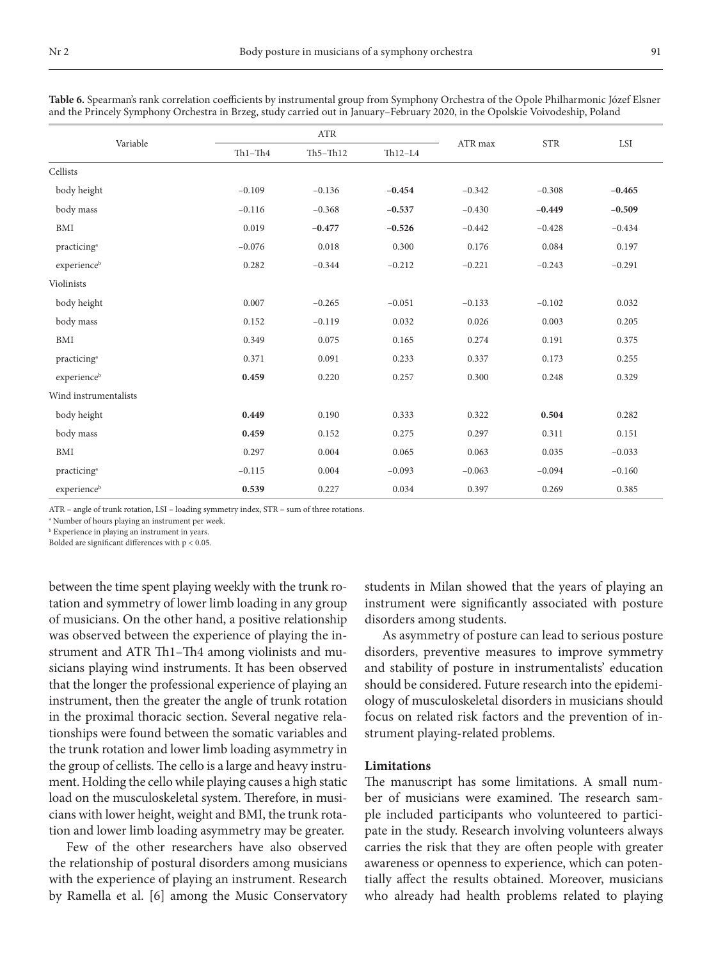| Variable                | <b>ATR</b> |              |           |          |            |          |
|-------------------------|------------|--------------|-----------|----------|------------|----------|
|                         | $Th1-Th4$  | $Th5 - Th12$ | $Th12-L4$ | ATR max  | <b>STR</b> | LSI      |
| Cellists                |            |              |           |          |            |          |
| body height             | $-0.109$   | $-0.136$     | $-0.454$  | $-0.342$ | $-0.308$   | $-0.465$ |
| body mass               | $-0.116$   | $-0.368$     | $-0.537$  | $-0.430$ | $-0.449$   | $-0.509$ |
| <b>BMI</b>              | 0.019      | $-0.477$     | $-0.526$  | $-0.442$ | $-0.428$   | $-0.434$ |
| practicing <sup>a</sup> | $-0.076$   | 0.018        | 0.300     | 0.176    | 0.084      | 0.197    |
| experienceb             | 0.282      | $-0.344$     | $-0.212$  | $-0.221$ | $-0.243$   | $-0.291$ |
| Violinists              |            |              |           |          |            |          |
| body height             | 0.007      | $-0.265$     | $-0.051$  | $-0.133$ | $-0.102$   | 0.032    |
| body mass               | 0.152      | $-0.119$     | 0.032     | 0.026    | 0.003      | 0.205    |
| <b>BMI</b>              | 0.349      | 0.075        | 0.165     | 0.274    | 0.191      | 0.375    |
| practicing <sup>a</sup> | 0.371      | 0.091        | 0.233     | 0.337    | 0.173      | 0.255    |
| experienceb             | 0.459      | 0.220        | 0.257     | 0.300    | 0.248      | 0.329    |
| Wind instrumentalists   |            |              |           |          |            |          |
| body height             | 0.449      | 0.190        | 0.333     | 0.322    | 0.504      | 0.282    |
| body mass               | 0.459      | 0.152        | 0.275     | 0.297    | 0.311      | 0.151    |
| BMI                     | 0.297      | 0.004        | 0.065     | 0.063    | 0.035      | $-0.033$ |
| practicing <sup>a</sup> | $-0.115$   | 0.004        | $-0.093$  | $-0.063$ | $-0.094$   | $-0.160$ |
| experienceb             | 0.539      | 0.227        | 0.034     | 0.397    | 0.269      | 0.385    |

**Table 6.** Spearman's rank correlation coefficients by instrumental group from Symphony Orchestra of the Opole Philharmonic Józef Elsner and the Princely Symphony Orchestra in Brzeg, study carried out in January–February 2020, in the Opolskie Voivodeship, Poland

ATR – angle of trunk rotation, LSI – loading symmetry index, STR – sum of three rotations.

a Number of hours playing an instrument per week.

b Experience in playing an instrument in years.

Bolded are significant differences with p < 0.05.

between the time spent playing weekly with the trunk rotation and symmetry of lower limb loading in any group of musicians. On the other hand, a positive relationship was observed between the experience of playing the instrument and ATR Th1–Th4 among violinists and musicians playing wind instruments. It has been observed that the longer the professional experience of playing an instrument, then the greater the angle of trunk rotation in the proximal thoracic section. Several negative relationships were found between the somatic variables and the trunk rotation and lower limb loading asymmetry in the group of cellists. The cello is a large and heavy instrument. Holding the cello while playing causes a high static load on the musculoskeletal system. Therefore, in musicians with lower height, weight and BMI, the trunk rotation and lower limb loading asymmetry may be greater.

Few of the other researchers have also observed the relationship of postural disorders among musicians with the experience of playing an instrument. Research by Ramella et al. [6] among the Music Conservatory students in Milan showed that the years of playing an instrument were significantly associated with posture disorders among students.

As asymmetry of posture can lead to serious posture disorders, preventive measures to improve symmetry and stability of posture in instrumentalists' education should be considered. Future research into the epidemiology of musculoskeletal disorders in musicians should focus on related risk factors and the prevention of instrument playing-related problems.

#### **Limitations**

The manuscript has some limitations. A small number of musicians were examined. The research sample included participants who volunteered to participate in the study. Research involving volunteers always carries the risk that they are often people with greater awareness or openness to experience, which can potentially affect the results obtained. Moreover, musicians who already had health problems related to playing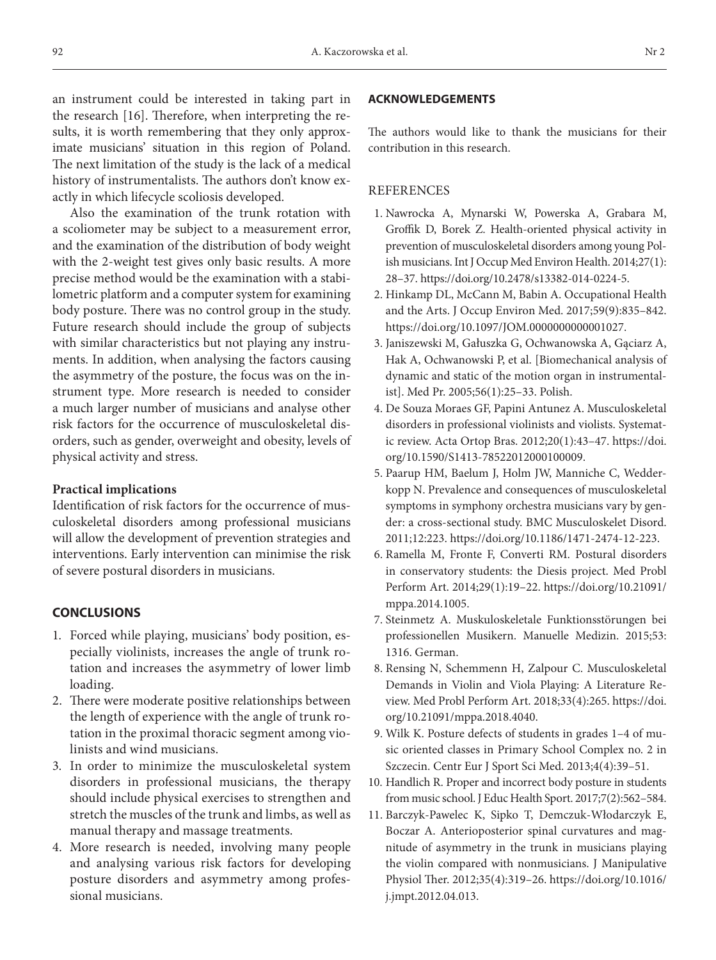an instrument could be interested in taking part in the research [16]. Therefore, when interpreting the results, it is worth remembering that they only approximate musicians' situation in this region of Poland. The next limitation of the study is the lack of a medical history of instrumentalists. The authors don't know exactly in which lifecycle scoliosis developed.

Also the examination of the trunk rotation with a scoliometer may be subject to a measurement error, and the examination of the distribution of body weight with the 2-weight test gives only basic results. A more precise method would be the examination with a stabilometric platform and a computer system for examining body posture. There was no control group in the study. Future research should include the group of subjects with similar characteristics but not playing any instruments. In addition, when analysing the factors causing the asymmetry of the posture, the focus was on the instrument type. More research is needed to consider a much larger number of musicians and analyse other risk factors for the occurrence of musculoskeletal disorders, such as gender, overweight and obesity, levels of physical activity and stress.

#### **Practical implications**

Identification of risk factors for the occurrence of musculoskeletal disorders among professional musicians will allow the development of prevention strategies and interventions. Early intervention can minimise the risk of severe postural disorders in musicians.

## **CONCLUSIONS**

- 1. Forced while playing, musicians' body position, especially violinists, increases the angle of trunk rotation and increases the asymmetry of lower limb loading.
- 2. There were moderate positive relationships between the length of experience with the angle of trunk rotation in the proximal thoracic segment among violinists and wind musicians.
- 3. In order to minimize the musculoskeletal system disorders in professional musicians, the therapy should include physical exercises to strengthen and stretch the muscles of the trunk and limbs, as well as manual therapy and massage treatments.
- 4. More research is needed, involving many people and analysing various risk factors for developing posture disorders and asymmetry among professional musicians.

#### **ACKNOWLEDGEMENTS**

The authors would like to thank the musicians for their contribution in this research.

# **REFERENCES**

- 1. Nawrocka A, Mynarski W, Powerska A, Grabara M, Groffik D, Borek Z. Health-oriented physical activity in prevention of musculoskeletal disorders among young Polish musicians. Int J Occup Med Environ Health. 2014;27(1): 28–37.<https://doi.org/10.2478/s13382-014-0224-5>.
- 2. Hinkamp DL, McCann M, Babin A. Occupational Health and the Arts. J Occup Environ Med. 2017;59(9):835–842. [https://doi.org/10.1097/JOM.0000000000001027.](https://doi.org/10.1097/JOM.0000000000001027)
- 3. Janiszewski M, Gałuszka G, Ochwanowska A, Gąciarz A, Hak A, Ochwanowski P, et al. [Biomechanical analysis of dynamic and static of the motion organ in instrumentalist]. Med Pr. 2005;56(1):25–33. Polish.
- 4. De Souza Moraes GF, Papini Antunez A. Musculoskeletal disorders in professional violinists and violists. Systematic review. Acta Ortop Bras. 2012;20(1):43–47. [https://doi.](https://doi.org/10.1590/S1413-78522012000100009) [org/10.1590/S1413-78522012000100009](https://doi.org/10.1590/S1413-78522012000100009).
- 5. Paarup HM, Baelum J, Holm JW, Manniche C, Wedderkopp N. Prevalence and consequences of musculoskeletal symptoms in symphony orchestra musicians vary by gender: a cross-sectional study. BMC Musculoskelet Disord. 2011;12:223. [https://doi.org/10.1186/1471-2474-12-223.](https://doi.org/10.1186/1471-2474-12-223)
- 6. Ramella M, Fronte F, Converti RM. Postural disorders in conservatory students: the Diesis project. Med Probl Perform Art. 2014;29(1):19–22. [https://doi.org/10.21091/](https://doi.org/10.21091/mppa.2014.1005) [mppa.2014.1005.](https://doi.org/10.21091/mppa.2014.1005)
- 7. Steinmetz A. Muskuloskeletale Funktionsstörungen bei professionellen Musikern. Manuelle Medizin. 2015;53: 1316. German.
- 8. Rensing N, Schemmenn H, Zalpour C. Musculoskeletal Demands in Violin and Viola Playing: A Literature Review. Med Probl Perform Art. 2018;33(4):265. [https://doi.](https://doi.org/10.21091/mppa.2018.4040) [org/10.21091/mppa.2018.4040.](https://doi.org/10.21091/mppa.2018.4040)
- 9. Wilk K. Posture defects of students in grades 1–4 of music oriented classes in Primary School Complex no. 2 in Szczecin. Centr Eur J Sport Sci Med. 2013;4(4):39–51.
- 10. Handlich R. Proper and incorrect body posture in students from music school. J Educ Health Sport. 2017;7(2):562–584.
- 11. Barczyk-Pawelec K, Sipko T, Demczuk-Włodarczyk E, Boczar A. Anterioposterior spinal curvatures and magnitude of asymmetry in the trunk in musicians playing the violin compared with nonmusicians. J Manipulative Physiol Ther. 2012;35(4):319–26. [https://doi.org/10.1016/](https://doi.org/10.1016/j.jmpt.2012.04.013) [j.jmpt.2012.04.013.](https://doi.org/10.1016/j.jmpt.2012.04.013)